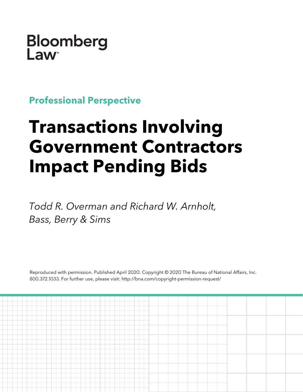Bloomberg Law

**Professional Perspective**

# **Transactions Involving Government Contractors Impact Pending Bids**

*Todd R. Overman and Richard W. Arnholt, Bass, Berry & Sims*

Reproduced with permission. Published April 2020. Copyright © 2020 The Bureau of National Affairs, Inc. 800.372.1033. For further use, please visit: http://bna.com/copyright-permission-request/

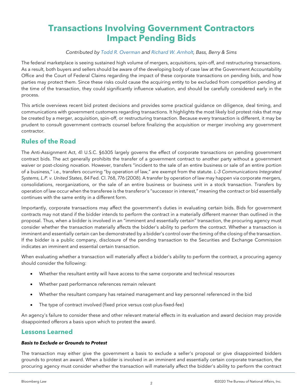# **Transactions Involving Government Contractors Impact Pending Bids**

#### *Contributed by [Todd R. Overman](https://www.bassberry.com/professionals/overman-todd/) and [Richard W. Arnholt,](https://www.bassberry.com/professionals/arnholt-richard/) Bass, Berry & Sims*

The federal marketplace is seeing sustained high volume of mergers, acquisitions, spin-off, and restructuring transactions. As a result, both buyers and sellers should be aware of the developing body of case law at the Government Accountability Office and the Court of Federal Claims regarding the impact of these corporate transactions on pending bids, and how parties may protect them. Since these risks could cause the acquiring entity to be excluded from competition pending at the time of the transaction, they could significantly influence valuation, and should be carefully considered early in the process.

This article overviews recent bid protest decisions and provides some practical guidance on diligence, deal timing, and communications with government customers regarding transactions. It highlights the most likely bid protest risks that may be created by a merger, acquisition, spin-off, or restructuring transaction. Because every transaction is different, it may be prudent to consult government contracts counsel before finalizing the acquisition or merger involving any government contractor.

### **Rules of the Road**

The Anti-Assignment Act, 41 U.S.C. §6305 largely governs the effect of corporate transactions on pending government contract bids. The act generally prohibits the transfer of a government contract to another party without a government waiver or post-closing novation. However, transfers "incident to the sale of an entire business or sale of an entire portion of a business," i.e., transfers occurring "by operation of law," are exempt from the statute. *L-3 Communications Integrated Systems, L.P. v. United States*, 84 Fed. Cl. 768, 776 (2008). A transfer by operation of law may happen via corporate mergers, consolidations, reorganizations, or the sale of an entire business or business unit in a stock transaction. Transfers by operation of law occur when the transferee is the transferor's "successor in interest," meaning the contract or bid essentially continues with the same entity in a different form.

Importantly, corporate transactions may affect the government's duties in evaluating certain bids. Bids for government contracts may not stand if the bidder intends to perform the contract in a materially different manner than outlined in the proposal. Thus, when a bidder is involved in an "imminent and essentially certain" transaction, the procuring agency must consider whether the transaction materially affects the bidder's ability to perform the contract. Whether a transaction is imminent and essentially certain can be demonstrated by a bidder's control over the timing of the closing of the transaction. If the bidder is a public company, disclosure of the pending transaction to the Securities and Exchange Commission indicates an imminent and essential certain transaction.

When evaluating whether a transaction will materially affect a bidder's ability to perform the contract, a procuring agency should consider the following:

- Whether the resultant entity will have access to the same corporate and technical resources
- Whether past performance references remain relevant
- Whether the resultant company has retained management and key personnel referenced in the bid
- The type of contract involved (fixed price versus cost-plus-fixed-fee)

An agency's failure to consider these and other relevant material effects in its evaluation and award decision may provide disappointed offerors a basis upon which to protest the award.

#### **Lessons Learned**

#### *Basis to Exclude or Grounds to Protest*

The transaction may either give the government a basis to exclude a seller's proposal or give disappointed bidders grounds to protest an award. When a bidder is involved in an imminent and essentially certain corporate transaction, the procuring agency must consider whether the transaction will materially affect the bidder's ability to perform the contract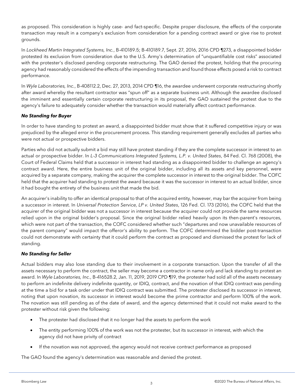as proposed. This consideration is highly case- and fact-specific. Despite proper disclosure, the effects of the corporate transaction may result in a company's exclusion from consideration for a pending contract award or give rise to protest grounds.

In *Lockheed Martin Integrated Systems, Inc.*, B-410189.5; B-410189.7, Sept. 27, 2016, 2016 CPD ¶273, a disappointed bidder protested its exclusion from consideration due to the U.S. Army's determination of "unquantifiable cost risks" associated with the protester's disclosed pending corporate restructuring. The GAO denied the protest, holding that the procuring agency had reasonably considered the effects of the impending transaction and found those effects posed a risk to contract performance.

In *Wyle Laboratories, Inc.*, B-408112.2, Dec. 27, 2013, 2014 CPD ¶16, the awardee underwent corporate restructuring shortly after award whereby the resultant contractor was "spun off" as a separate business unit. Although the awardee disclosed the imminent and essentially certain corporate restructuring in its proposal, the GAO sustained the protest due to the agency's failure to adequately consider whether the transaction would materially affect contract performance.

#### *No Standing for Buyer*

In order to have standing to protest an award, a disappointed bidder must show that it suffered competitive injury or was prejudiced by the alleged error in the procurement process. This standing requirement generally excludes all parties who were not actual or prospective bidders.

Parties who did not actually submit a bid may still have protest standing if they are the complete successor in interest to an actual or prospective bidder. In *L-3 Communications Integrated Systems, L.P. v. United States*, 84 Fed. Cl. 768 (2008), the Court of Federal Claims held that a successor in interest had standing as a disappointed bidder to challenge an agency's contract award. Here, the entire business unit of the original bidder, including all its assets and key personnel, were acquired by a separate company, making the acquirer the complete successor in interest to the original bidder. The COFC held that the acquirer had standing to protest the award because it was the successor in interest to an actual bidder, since it had bought the entirety of the business unit that made the bid.

An acquirer's inability to offer an identical proposal to that of the acquired entity, however, may bar the acquirer from being a successor in interest. In *Universal Protection Service, LP v. United States*, 126 Fed. Cl. 173 (2016), the COFC held that the acquirer of the original bidder was not a successor in interest because the acquirer could not provide the same resources relied upon in the original bidder's proposal. Since the original bidder relied heavily upon its then-parent's resources, which were not part of the transaction, the COFC considered whether such "departures and now unavailable resources of the parent company" would impact the offeror's ability to perform. The COFC determined the bidder post-transaction could not demonstrate with certainty that it could perform the contract as proposed and dismissed the protest for lack of standing.

#### *No Standing for Seller*

Actual bidders may also lose standing due to their involvement in a corporate transaction. Upon the transfer of all the assets necessary to perform the contract, the seller may become a contractor in name only and lack standing to protest an award. In *Wyle Laboratories, Inc.*, B-416528.2, Jan. 11, 2019, 2019 CPD ¶19, the protester had sold all of the assets necessary to perform an indefinite delivery indefinite quantity, or IDIQ, contract, and the novation of that IDIQ contract was pending at the time a bid for a task order under that IDIQ contract was submitted. The protester disclosed its successor in interest, noting that upon novation, its successor in interest would become the prime contractor and perform 100% of the work. The novation was still pending as of the date of award, and the agency determined that it could not make award to the protester without risk given the following:

- The protester had disclosed that it no longer had the assets to perform the work
- The entity performing 100% of the work was not the protester, but its successor in interest, with which the agency did not have privity of contract
- If the novation was not approved, the agency would not receive contract performance as proposed

The GAO found the agency's determination was reasonable and denied the protest.